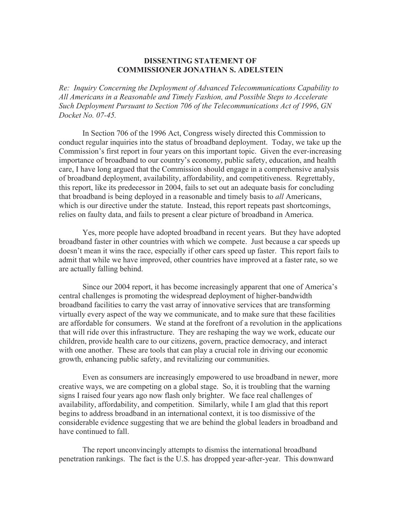## **DISSENTING STATEMENT OF COMMISSIONER JONATHAN S. ADELSTEIN**

*Re: Inquiry Concerning the Deployment of Advanced Telecommunications Capability to All Americans in a Reasonable and Timely Fashion, and Possible Steps to Accelerate Such Deployment Pursuant to Section 706 of the Telecommunications Act of 1996*, *GN Docket No. 07-45.*

In Section 706 of the 1996 Act, Congress wisely directed this Commission to conduct regular inquiries into the status of broadband deployment. Today, we take up the Commission's first report in four years on this important topic. Given the ever-increasing importance of broadband to our country's economy, public safety, education, and health care, I have long argued that the Commission should engage in a comprehensive analysis of broadband deployment, availability, affordability, and competitiveness. Regrettably, this report, like its predecessor in 2004, fails to set out an adequate basis for concluding that broadband is being deployed in a reasonable and timely basis to *all* Americans, which is our directive under the statute. Instead, this report repeats past shortcomings, relies on faulty data, and fails to present a clear picture of broadband in America.

Yes, more people have adopted broadband in recent years. But they have adopted broadband faster in other countries with which we compete. Just because a car speeds up doesn't mean it wins the race, especially if other cars speed up faster. This report fails to admit that while we have improved, other countries have improved at a faster rate, so we are actually falling behind.

Since our 2004 report, it has become increasingly apparent that one of America's central challenges is promoting the widespread deployment of higher-bandwidth broadband facilities to carry the vast array of innovative services that are transforming virtually every aspect of the way we communicate, and to make sure that these facilities are affordable for consumers. We stand at the forefront of a revolution in the applications that will ride over this infrastructure. They are reshaping the way we work, educate our children, provide health care to our citizens, govern, practice democracy, and interact with one another. These are tools that can play a crucial role in driving our economic growth, enhancing public safety, and revitalizing our communities.

Even as consumers are increasingly empowered to use broadband in newer, more creative ways, we are competing on a global stage. So, it is troubling that the warning signs I raised four years ago now flash only brighter. We face real challenges of availability, affordability, and competition. Similarly, while I am glad that this report begins to address broadband in an international context, it is too dismissive of the considerable evidence suggesting that we are behind the global leaders in broadband and have continued to fall.

The report unconvincingly attempts to dismiss the international broadband penetration rankings. The fact is the U.S. has dropped year-after-year. This downward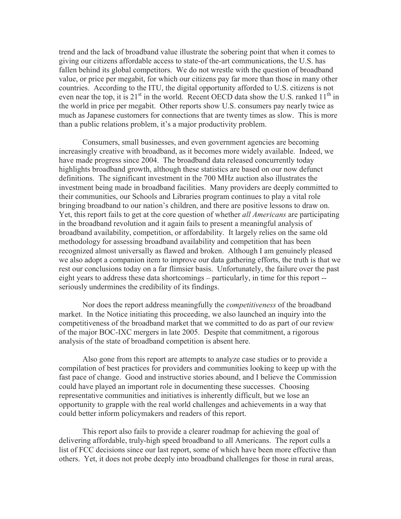trend and the lack of broadband value illustrate the sobering point that when it comes to giving our citizens affordable access to state-of the-art communications, the U.S. has fallen behind its global competitors. We do not wrestle with the question of broadband value, or price per megabit, for which our citizens pay far more than those in many other countries. According to the ITU, the digital opportunity afforded to U.S. citizens is not even near the top, it is  $21^{st}$  in the world. Recent OECD data show the U.S. ranked  $11^{th}$  in the world in price per megabit. Other reports show U.S. consumers pay nearly twice as much as Japanese customers for connections that are twenty times as slow. This is more than a public relations problem, it's a major productivity problem.

Consumers, small businesses, and even government agencies are becoming increasingly creative with broadband, as it becomes more widely available. Indeed, we have made progress since 2004. The broadband data released concurrently today highlights broadband growth, although these statistics are based on our now defunct definitions. The significant investment in the 700 MHz auction also illustrates the investment being made in broadband facilities. Many providers are deeply committed to their communities, our Schools and Libraries program continues to play a vital role bringing broadband to our nation's children, and there are positive lessons to draw on. Yet, this report fails to get at the core question of whether *all Americans* are participating in the broadband revolution and it again fails to present a meaningful analysis of broadband availability, competition, or affordability. It largely relies on the same old methodology for assessing broadband availability and competition that has been recognized almost universally as flawed and broken. Although I am genuinely pleased we also adopt a companion item to improve our data gathering efforts, the truth is that we rest our conclusions today on a far flimsier basis. Unfortunately, the failure over the past eight years to address these data shortcomings – particularly, in time for this report - seriously undermines the credibility of its findings.

Nor does the report address meaningfully the *competitiveness* of the broadband market. In the Notice initiating this proceeding, we also launched an inquiry into the competitiveness of the broadband market that we committed to do as part of our review of the major BOC-IXC mergers in late 2005. Despite that commitment, a rigorous analysis of the state of broadband competition is absent here.

Also gone from this report are attempts to analyze case studies or to provide a compilation of best practices for providers and communities looking to keep up with the fast pace of change. Good and instructive stories abound, and I believe the Commission could have played an important role in documenting these successes. Choosing representative communities and initiatives is inherently difficult, but we lose an opportunity to grapple with the real world challenges and achievements in a way that could better inform policymakers and readers of this report.

This report also fails to provide a clearer roadmap for achieving the goal of delivering affordable, truly-high speed broadband to all Americans. The report culls a list of FCC decisions since our last report, some of which have been more effective than others. Yet, it does not probe deeply into broadband challenges for those in rural areas,